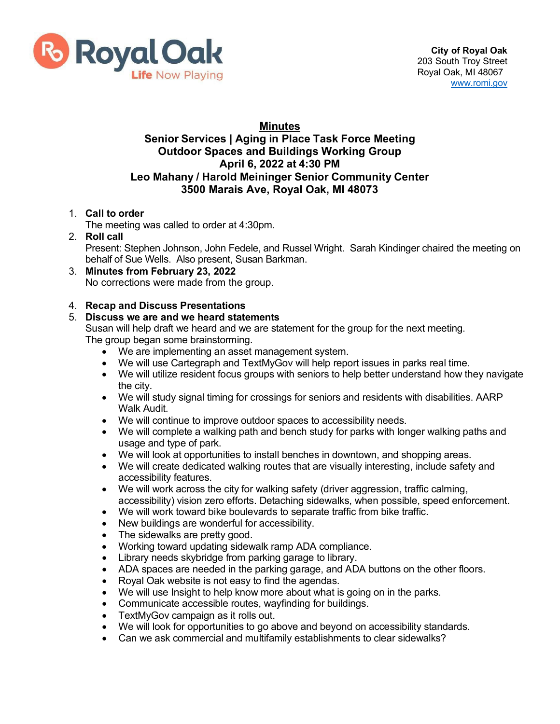

# **Minutes**

## **Senior Services | Aging in Place Task Force Meeting Outdoor Spaces and Buildings Working Group April 6, 2022 at 4:30 PM Leo Mahany / Harold Meininger Senior Community Center 3500 Marais Ave, Royal Oak, MI 48073**

## 1. **Call to order**

The meeting was called to order at 4:30pm.

#### 2. **Roll call**

Present: Stephen Johnson, John Fedele, and Russel Wright. Sarah Kindinger chaired the meeting on behalf of Sue Wells. Also present, Susan Barkman.

#### 3. **Minutes from February 23, 2022** No corrections were made from the group.

## 4. **Recap and Discuss Presentations**

## 5. **Discuss we are and we heard statements**

Susan will help draft we heard and we are statement for the group for the next meeting. The group began some brainstorming.

- We are implementing an asset management system.
- We will use Cartegraph and TextMyGov will help report issues in parks real time.
- We will utilize resident focus groups with seniors to help better understand how they navigate the city.
- We will study signal timing for crossings for seniors and residents with disabilities. AARP Walk Audit.
- We will continue to improve outdoor spaces to accessibility needs.
- We will complete a walking path and bench study for parks with longer walking paths and usage and type of park.
- We will look at opportunities to install benches in downtown, and shopping areas.
- We will create dedicated walking routes that are visually interesting, include safety and accessibility features.
- We will work across the city for walking safety (driver aggression, traffic calming, accessibility) vision zero efforts. Detaching sidewalks, when possible, speed enforcement.
- We will work toward bike boulevards to separate traffic from bike traffic.
- New buildings are wonderful for accessibility.
- The sidewalks are pretty good.
- Working toward updating sidewalk ramp ADA compliance.
- Library needs skybridge from parking garage to library.
- ADA spaces are needed in the parking garage, and ADA buttons on the other floors.
- Royal Oak website is not easy to find the agendas.
- We will use Insight to help know more about what is going on in the parks.
- Communicate accessible routes, wayfinding for buildings.
- TextMyGov campaign as it rolls out.
- We will look for opportunities to go above and beyond on accessibility standards.
- Can we ask commercial and multifamily establishments to clear sidewalks?